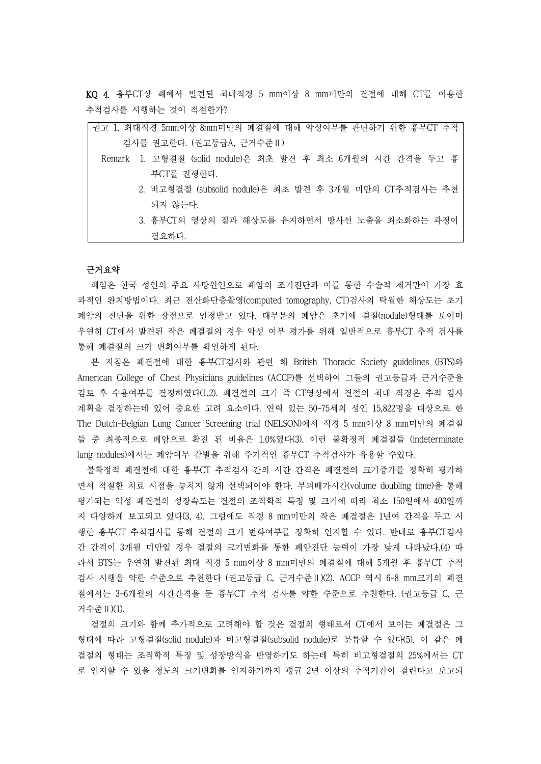KQ 4. 흉부CT상 폐에서 발견된 최대직경 5 mm이상 8 mm미만의 결절에 대해 CT를 이용한 추적검사를 시행하는 것이 적절한가?

| 권고 1. 최대직경 5mm이상 8mm미만의 폐결절에 대해 악성여부를 판단하기 위한 흉부CT 추적      |
|------------------------------------------------------------|
| 검사를 권고한다. (권고등급A, 근거수준 II)                                 |
| Remark 1. 고형결절 (solid nodule)은 최초 발견 후 최소 6개월의 시간 간격을 두고 흉 |
| 부CT를 진행한다.                                                 |
| 2. 비고형결절 (subsolid nodule)은 최초 발견 후 3개월 미만의 CT추적검사는 추천     |
| 되지 않는다.                                                    |
| 3. 흉부CT의 영상의 질과 해상도를 유지하면서 방사선 노출을 최소화하는 과정이               |
| 필요하다.                                                      |

#### 근거요약

폐암은 한국 성인의 주요 사망원인으로 폐암의 조기진단과 이를 통한 수술적 제거만이 가장 효 과적인 완치방법이다. 최근 전산화단층촬영(computed tomography, CT)검사의 탁월한 해상도는 초기 폐암의 진단을 위한 장점으로 인정받고 있다. 대부분의 폐암은 초기에 결절(nodule)형태를 보이며 우연히 CT에서 발견된 작은 폐결절의 경우 악성 여부 평가를 위해 일반적으로 흉부CT 추적 검사를 통해 폐결절의 크기 변화여부를 확인하게 된다.<br>- 본 지침은 폐결절에 대한 흉부CT검사와 관련 해 British Thoracic Society guidelines (BTS)와

American College of Chest Physicians guidelines (ACCP)를 선택하여 그들의 권고등급과 근거수준을 검토 후 수용여부를 결정하였다(1,2). 폐결절의 크기 즉 CT영상에서 결절의 최대 직경은 추적 검사 계획을 결정하는데 있어 중요한 고려 요소이다. 연력 있는 50-75세의 성인 15,822명을 대상으로 한 The Dutch-Belgian Lung Cancer Screening trial (NELSON)에서 직경 5 mm이상 8 mm미만의 폐결절 들 중 최종적으로 폐암으로 확진 된 비율은 1.0%였다(3). 이런 불확정적 폐결절들 (indeterminate lung nodules)에서는 폐암여부 감별을 위해 주기적인 흉부CT 추적검사가 유용할 수있다.

불확정적 폐결절에 대한 흉부CT 추적검사 간의 시간 간격은 폐결절의 크기증가를 정확히 평가하 면서 적절한 치료 시점을 놓치지 않게 선택되어야 한다. 부피배가시간(volume doubling time)을 통해 평가되는 악성 폐결절의 성장속도는 결절의 조직학적 특징 및 크기에 따라 최소 150일에서 400일까 지 다양하게 보고되고 있다(3, 4). 그럼에도 직경 8 mm미만의 작은 폐결절은 1년여 간격을 두고 시 행한 흉부CT 추척검사를 통해 결절의 크기 변화여부를 정확히 인지할 수 있다. 반대로 흉부CT검사 간 간격이 3개월 미만일 경우 결절의 크기변화를 통한 폐암진단 능력이 가장 낮게 나타났다.(4) 따 라서 BTS는 우연히 발견된 최대 직경 5 mm이상 8 mm미만의 폐결절에 대해 5개월 후 흉부CT 추적 검사 시행을 약한 수준으로 추천한다 (권고등급 C, 근거수준Ⅱ)(2). ACCP 역시 6-8 mm크기의 폐결 절에서는 3-6개월의 시간간격을 둔 흉부CT 추적 검사를 약한 수준으로 추천한다. (권고등급 C, 근 거수준Ⅱ)(1).

결절의 크기와 함께 추가적으로 고려해야 할 것은 결절의 형태로서 CT에서 보이는 폐결절은 그 형태에 따라 고형결절(solid nodule)과 비고형결절(subsolid nodule)로 분류할 수 있다(5). 이 같은 폐 결절의 형태는 조직학적 특징 및 성장방식을 반영하기도 하는데 특히 비고형결절의 25%에서는 CT 로 인지할 수 있을 정도의 크기변화를 인지하기까지 평균 2년 이상의 추적기간이 걸린다고 보고되